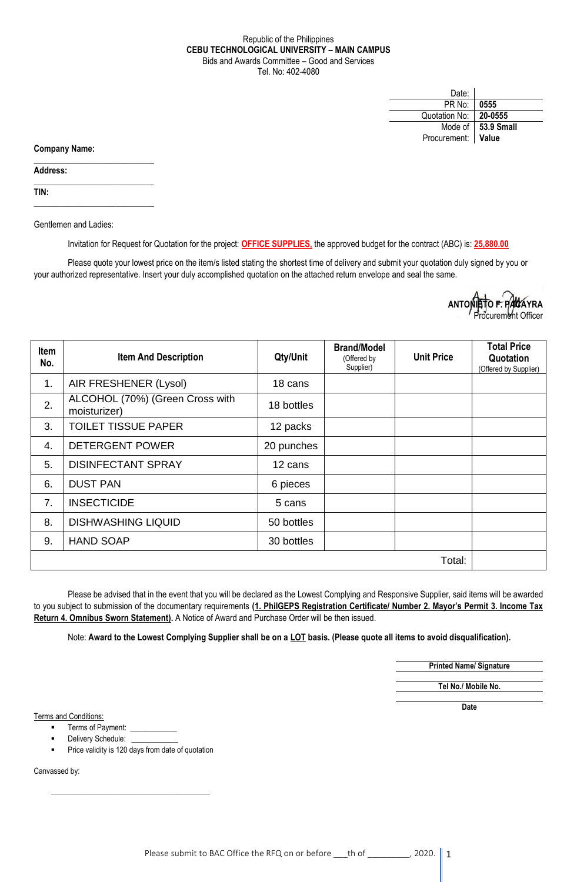## Republic of the Philippines **CEBU TECHNOLOGICAL UNIVERSITY – MAIN CAMPUS** Bids and Awards Committee – Good and Services Tel. No: 402-4080

| Date:         |                    |
|---------------|--------------------|
| PR No:        | 0555               |
| Quotation No: | 20-0555            |
| Mode of       | $\vert$ 53.9 Small |
| Procurement:  | <b>Value</b>       |

**Company Name:**

**Address:** 

**TIN:**

Gentlemen and Ladies:

 $\_$ 

 $\_$ 

\_\_\_\_\_\_\_\_\_\_\_\_\_\_\_\_\_\_\_\_\_\_\_\_\_\_\_\_

Invitation for Request for Quotation for the project: **OFFICE SUPPLIES,** the approved budget for the contract (ABC) is: **25,880.00**

Please quote your lowest price on the item/s listed stating the shortest time of delivery and submit your quotation duly signed by you or your authorized representative. Insert your duly accomplished quotation on the attached return envelope and seal the same.



| Item<br>No. | <b>Item And Description</b>                     | Qty/Unit   | <b>Brand/Model</b><br>(Offered by<br>Supplier) | <b>Unit Price</b> | <b>Total Price</b><br>Quotation<br>(Offered by Supplier) |
|-------------|-------------------------------------------------|------------|------------------------------------------------|-------------------|----------------------------------------------------------|
| 1.          | AIR FRESHENER (Lysol)                           | 18 cans    |                                                |                   |                                                          |
| 2.          | ALCOHOL (70%) (Green Cross with<br>moisturizer) | 18 bottles |                                                |                   |                                                          |
| 3.          | <b>TOILET TISSUE PAPER</b>                      | 12 packs   |                                                |                   |                                                          |
| 4.          | <b>DETERGENT POWER</b>                          | 20 punches |                                                |                   |                                                          |
| 5.          | <b>DISINFECTANT SPRAY</b>                       | 12 cans    |                                                |                   |                                                          |
| 6.          | <b>DUST PAN</b>                                 | 6 pieces   |                                                |                   |                                                          |
| 7.          | <b>INSECTICIDE</b>                              | 5 cans     |                                                |                   |                                                          |
| 8.          | <b>DISHWASHING LIQUID</b>                       | 50 bottles |                                                |                   |                                                          |
| 9.          | <b>HAND SOAP</b>                                | 30 bottles |                                                |                   |                                                          |
|             |                                                 |            |                                                | Total:            |                                                          |

Please be advised that in the event that you will be declared as the Lowest Complying and Responsive Supplier, said items will be awarded to you subject to submission of the documentary requirements **(1. PhilGEPS Registration Certificate/ Number 2. Mayor's Permit 3. Income Tax Return 4. Omnibus Sworn Statement).** A Notice of Award and Purchase Order will be then issued.

Note: **Award to the Lowest Complying Supplier shall be on a LOT basis. (Please quote all items to avoid disqualification).**

**Printed Name/ Signature**

**Tel No./ Mobile No.**

**Date**

Terms and Conditions:

- Terms of Payment: \_
- Delivery Schedule:
- Price validity is 120 days from date of quotation

 $\frac{1}{\sqrt{2}}$  ,  $\frac{1}{\sqrt{2}}$  ,  $\frac{1}{\sqrt{2}}$  ,  $\frac{1}{\sqrt{2}}$  ,  $\frac{1}{\sqrt{2}}$  ,  $\frac{1}{\sqrt{2}}$  ,  $\frac{1}{\sqrt{2}}$  ,  $\frac{1}{\sqrt{2}}$  ,  $\frac{1}{\sqrt{2}}$  ,  $\frac{1}{\sqrt{2}}$  ,  $\frac{1}{\sqrt{2}}$  ,  $\frac{1}{\sqrt{2}}$  ,  $\frac{1}{\sqrt{2}}$  ,  $\frac{1}{\sqrt{2}}$  ,  $\frac{1}{\sqrt{2}}$ 

Canvassed by: